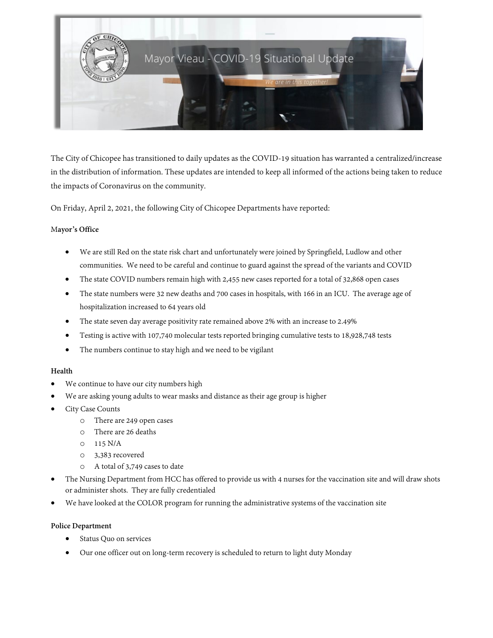

The City of Chicopee has transitioned to daily updates as the COVID-19 situation has warranted a centralized/increase in the distribution of information. These updates are intended to keep all informed of the actions being taken to reduce the impacts of Coronavirus on the community.

On Friday, April 2, 2021, the following City of Chicopee Departments have reported:

### M**ayor's Office**

- We are still Red on the state risk chart and unfortunately were joined by Springfield, Ludlow and other communities. We need to be careful and continue to guard against the spread of the variants and COVID
- The state COVID numbers remain high with 2,455 new cases reported for a total of 32,868 open cases
- The state numbers were 32 new deaths and 700 cases in hospitals, with 166 in an ICU. The average age of hospitalization increased to 64 years old
- The state seven day average positivity rate remained above 2% with an increase to 2.49%
- Testing is active with 107,740 molecular tests reported bringing cumulative tests to 18,928,748 tests
- The numbers continue to stay high and we need to be vigilant

### **Health**

- We continue to have our city numbers high
- We are asking young adults to wear masks and distance as their age group is higher
- City Case Counts
	- o There are 249 open cases
	- o There are 26 deaths
	- o 115 N/A
	- o 3,383 recovered
	- o A total of 3,749 cases to date
- The Nursing Department from HCC has offered to provide us with 4 nurses for the vaccination site and will draw shots or administer shots. They are fully credentialed
- We have looked at the COLOR program for running the administrative systems of the vaccination site

### **Police Department**

- Status Quo on services
- Our one officer out on long-term recovery is scheduled to return to light duty Monday